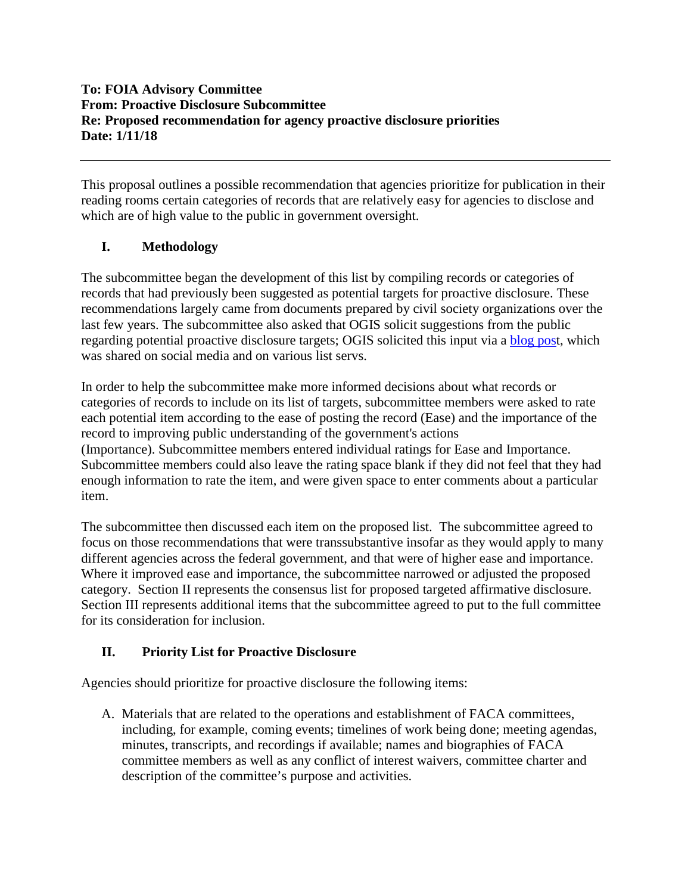## **To: FOIA Advisory Committee From: Proactive Disclosure Subcommittee Re: Proposed recommendation for agency proactive disclosure priorities Date: 1/11/18**

This proposal outlines a possible recommendation that agencies prioritize for publication in their reading rooms certain categories of records that are relatively easy for agencies to disclose and which are of high value to the public in government oversight.

## **I. Methodology**

The subcommittee began the development of this list by compiling records or categories of records that had previously been suggested as potential targets for proactive disclosure. These recommendations largely came from documents prepared by civil society organizations over the last few years. The subcommittee also asked that OGIS solicit suggestions from the public regarding potential proactive disclosure targets; OGIS solicited this input via a **[blog post](https://foia.blogs.archives.gov/2017/07/26/help-the-foia-advisory-committee-improve-proactive-disclosure/)**, which was shared on social media and on various list servs.

In order to help the subcommittee make more informed decisions about what records or categories of records to include on its list of targets, subcommittee members were asked to rate each potential item according to the ease of posting the record (Ease) and the importance of the record to improving public understanding of the government's actions (Importance). Subcommittee members entered individual ratings for Ease and Importance. Subcommittee members could also leave the rating space blank if they did not feel that they had enough information to rate the item, and were given space to enter comments about a particular item.

The subcommittee then discussed each item on the proposed list. The subcommittee agreed to focus on those recommendations that were transsubstantive insofar as they would apply to many different agencies across the federal government, and that were of higher ease and importance. Where it improved ease and importance, the subcommittee narrowed or adjusted the proposed category. Section II represents the consensus list for proposed targeted affirmative disclosure. Section III represents additional items that the subcommittee agreed to put to the full committee for its consideration for inclusion.

## **II. Priority List for Proactive Disclosure**

Agencies should prioritize for proactive disclosure the following items:

A. Materials that are related to the operations and establishment of FACA committees, including, for example, coming events; timelines of work being done; meeting agendas, minutes, transcripts, and recordings if available; names and biographies of FACA committee members as well as any conflict of interest waivers, committee charter and description of the committee's purpose and activities.